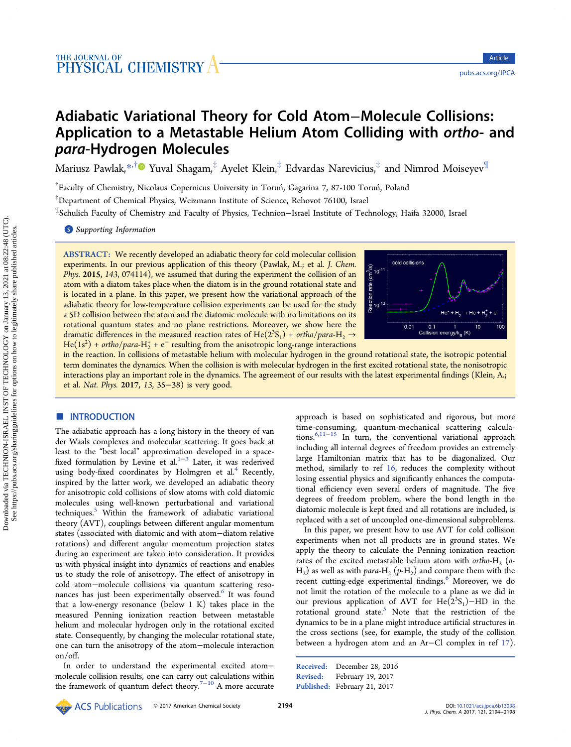# Adiabatic Variational Theory for Cold Atom−Molecule Collisions: Application to a Metastable Helium Atom Colliding with ortho- and para-Hydrogen Molecules

Mariusz Pawlak,[\\*](#page-4-0)<sup>,[†](#page-4-0)</sup> Yuval Shagam,<sup>‡</sup> Ayelet Klein,<sup>‡</sup> Edvardas Narevicius,<sup>‡</sup> and Nimrod Moiseyev<sup>¶</sup>

†Faculty of Chemistry, Nicolaus Copernicus University in Toruń, Gagarina 7, 87-100 Toruń, Poland ‡ Department of Chemical Physics, Weizmann Institute of Science, Rehovot 76100, Israel

¶ Schulich Faculty of Chemistry and Faculty of Physics, Technion−Israel Institute of Technology, Haifa 32000, Israel

**S** [Supporting Information](#page-4-0)

ABSTRACT: We recently developed an adiabatic theory for cold molecular collision experiments. In our previous application of this theory (Pawlak, M.; et al. J. Chem. Phys. 2015, 143, 074114), we assumed that during the experiment the collision of an atom with a diatom takes place when the diatom is in the ground rotational state and is located in a plane. In this paper, we present how the variational approach of the adiabatic theory for low-temperature collision experiments can be used for the study a 5D collision between the atom and the diatomic molecule with no limitations on its rotational quantum states and no plane restrictions. Moreover, we show here the dramatic differences in the measured reaction rates of He( $2^3S_1$ ) + ortho/para-H<sub>2</sub>  $\rightarrow$ He(1s<sup>2</sup>) + ortho/para-H<sub>2</sub><sup>+</sup> + e<sup>-</sup> resulting from the anisotropic long-range interactions



in the reaction. In collisions of metastable helium with molecular hydrogen in the ground rotational state, the isotropic potential term dominates the dynamics. When the collision is with molecular hydrogen in the first excited rotational state, the nonisotropic interactions play an important role in the dynamics. The agreement of our results with the latest experimental findings (Klein, A.; et al. Nat. Phys. 2017, 13, 35−38) is very good.

# **■ INTRODUCTION**

The adiabatic approach has a long history in the theory of van der Waals complexes and molecular scattering. It goes back at least to the "best local" approximation developed in a space-fixed formulation by Levine et al.<sup>[1](#page-4-0)-[3](#page-4-0)</sup> Later, it was rederived using body-fixed coordinates by Holmgren et al.<sup>[4](#page-4-0)</sup> Recently, inspired by the latter work, we developed an adiabatic theory for anisotropic cold collisions of slow atoms with cold diatomic molecules using well-known perturbational and variational techniques.[5](#page-4-0) Within the framework of adiabatic variational theory (AVT), couplings between different angular momentum states (associated with diatomic and with atom−diatom relative rotations) and different angular momentum projection states during an experiment are taken into consideration. It provides us with physical insight into dynamics of reactions and enables us to study the role of anisotropy. The effect of anisotropy in cold atom−molecule collisions via quantum scattering reso-nances has just been experimentally observed.<sup>[6](#page-4-0)</sup> It was found that a low-energy resonance (below 1 K) takes place in the measured Penning ionization reaction between metastable helium and molecular hydrogen only in the rotational excited state. Consequently, by changing the molecular rotational state, one can turn the anisotropy of the atom−molecule interaction on/off.

In order to understand the experimental excited atom− molecule collision results, one can carry out calculations within the framework of quantum defect theory.<sup>[7](#page-4-0)-[10](#page-4-0)</sup> A more accurate

approach is based on sophisticated and rigorous, but more time-consuming, quantum-mechanical scattering calculations.[6](#page-4-0),[11](#page-4-0)−[15](#page-4-0) In turn, the conventional variational approach including all internal degrees of freedom provides an extremely large Hamiltonian matrix that has to be diagonalized. Our method, similarly to ref [16](#page-4-0), reduces the complexity without losing essential physics and significantly enhances the computational efficiency even several orders of magnitude. The five degrees of freedom problem, where the bond length in the diatomic molecule is kept fixed and all rotations are included, is replaced with a set of uncoupled one-dimensional subproblems.

In this paper, we present how to use AVT for cold collision experiments when not all products are in ground states. We apply the theory to calculate the Penning ionization reaction rates of the excited metastable helium atom with ortho- $H_2$  (o- $H_2$ ) as well as with para- $H_2$  (p- $H_2$ ) and compare them with the recent cutting-edge experimental findings.<sup>[6](#page-4-0)</sup> Moreover, we do not limit the rotation of the molecule to a plane as we did in our previous application of AVT for He( $2^3S_1$ )–HD in the rotational ground state.<sup>[5](#page-4-0)</sup> Note that the restriction of the dynamics to be in a plane might introduce artificial structures in the cross sections (see, for example, the study of the collision between a hydrogen atom and an Ar−Cl complex in ref [17\)](#page-4-0).

```
Received: December 28, 2016
Revised: February 19, 2017
Published: February 21, 2017
```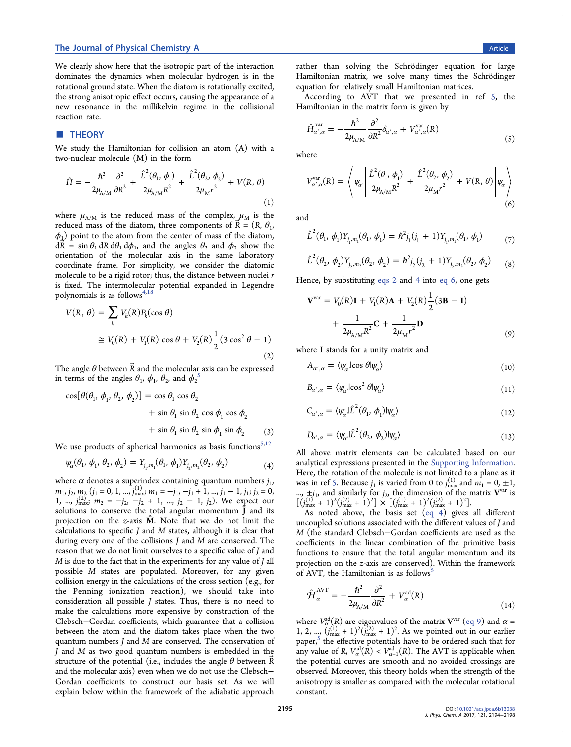#### <span id="page-1-0"></span>The Journal of Physical Chemistry A **Article** 2012 12:30 Article 2013 12:30 Article 2013 12:30 Article 2013 12:30 Article

We clearly show here that the isotropic part of the interaction dominates the dynamics when molecular hydrogen is in the rotational ground state. When the diatom is rotationally excited, the strong anisotropic effect occurs, causing the appearance of a new resonance in the millikelvin regime in the collisional reaction rate.

# **THEORY**

We study the Hamiltonian for collision an atom (A) with a two-nuclear molecule (M) in the form

$$
\hat{H} = -\frac{\hbar^2}{2\mu_{A/M}} \frac{\partial^2}{\partial R^2} + \frac{\hat{L}^2(\theta_1, \phi_1)}{2\mu_{A/M} R^2} + \frac{\hat{L}^2(\theta_2, \phi_2)}{2\mu_M r^2} + V(R, \theta)
$$
\n(1)

where  $\mu_{A/M}$  is the reduced mass of the complex,  $\mu_M$  is the reduced mass of the diatom, three components of  $\vec{R} = (R, \theta_1, \theta_2)$  $\phi_1$ ) point to the atom from the center of mass of the diatom,  $d\vec{R} = \sin \theta_1 dR d\theta_1 d\phi_1$ , and the angles  $\theta_2$  and  $\phi_2$  show the orientation of the molecular axis in the same laboratory coordinate frame. For simplicity, we consider the diatomic molecule to be a rigid rotor; thus, the distance between nuclei r is fixed. The intermolecular potential expanded in Legendre polynomials is as follows<sup>[4,18](#page-4-0)</sup>

$$
V(R, \theta) = \sum_{k} V_k(R) P_k(\cos \theta)
$$
  
\n
$$
\approx V_0(R) + V_1(R) \cos \theta + V_2(R) \frac{1}{2} (3 \cos^2 \theta - 1)
$$
  
\n(2)

The angle  $\theta$  between  $\vec{R}$  and the molecular axis can be expressed in terms of the angles  $\theta_1$ ,  $\phi_1$ ,  $\theta_2$ , and  $\phi_2^{\,5}$  $\phi_2^{\,5}$  $\phi_2^{\,5}$ 

$$
\cos[\theta(\theta_1, \phi_1, \theta_2, \phi_2)] = \cos \theta_1 \cos \theta_2 \n+ \sin \theta_1 \sin \theta_2 \cos \phi_1 \cos \phi_2 \n+ \sin \theta_1 \sin \theta_2 \sin \phi_1 \sin \phi_2
$$
\n(3)

We use products of spherical harmonics as basis functions $^{5,12}$  $^{5,12}$  $^{5,12}$ 

$$
\psi_{\alpha}(\theta_1, \phi_1, \theta_2, \phi_2) = Y_{j_1, m_1}(\theta_1, \phi_1) Y_{j_2, m_2}(\theta_2, \phi_2)
$$
\n(4)

where  $\alpha$  denotes a superindex containing quantum numbers  $j_1$ ,  $m_1$ ,  $j_2$ ,  $m_2$   $(j_1 = 0, 1, ..., j_{\text{max}}^{(1)}$ ,  $m_1 = -j_1, -j_1 + 1, ..., j_1 - 1, j_1; j_2 = 0$ ,  $1, \dots, j_{\text{max}}^{(2)}$ ,  $m_2 = -j_2, -j_2 + 1, \dots, j_2 - 1, j_2$ ). We expect our solutions to conserve the total angular momentum  $\hat{J}$  and its projection on the  $z$ -axis  $\hat{M}$ . Note that we do not limit the calculations to specific  $J$  and  $M$  states, although it is clear that during every one of the collisions J and M are conserved. The reason that we do not limit ourselves to a specific value of J and  $M$  is due to the fact that in the experiments for any value of  $J$  all possible M states are populated. Moreover, for any given collision energy in the calculations of the cross section (e.g., for the Penning ionization reaction), we should take into consideration all possible J states. Thus, there is no need to make the calculations more expensive by construction of the Clebsch−Gordan coefficients, which guarantee that a collision between the atom and the diatom takes place when the two quantum numbers J and M are conserved. The conservation of J and M as two good quantum numbers is embedded in the structure of the potential (i.e., includes the angle  $\theta$  between R and the molecular axis) even when we do not use the Clebsch− Gordan coefficients to construct our basis set. As we will explain below within the framework of the adiabatic approach

rather than solving the Schrödinger equation for large Hamiltonian matrix, we solve many times the Schrö dinger equation for relatively small Hamiltonian matrices.

According to AVT that we presented in ref [5](#page-4-0), the Hamiltonian in the matrix form is given by

$$
\hat{H}_{\alpha',\alpha}^{\text{var}} = -\frac{\hbar^2}{2\mu_{A/M}} \frac{\partial^2}{\partial R^2} \delta_{\alpha',\alpha} + V_{\alpha',\alpha}^{\text{var}}(R) \tag{5}
$$

where

$$
V_{\alpha',\alpha}^{\text{var}}(R) = \left\langle \psi_{\alpha'} \left| \frac{\hat{L}^2(\theta_1, \phi_1)}{2\mu_{A/M}R^2} + \frac{\hat{L}^2(\theta_2, \phi_2)}{2\mu_Mr^2} + V(R, \theta) \right| \psi_{\alpha} \right\rangle
$$
\n(6)

and

$$
\hat{L}^{2}(\theta_{1}, \phi_{1}) Y_{j_{1}, m_{1}}(\theta_{1}, \phi_{1}) = \hbar^{2} j_{1} (j_{1} + 1) Y_{j_{1}, m_{1}}(\theta_{1}, \phi_{1}) \tag{7}
$$

$$
\hat{L}^{2}(\theta_{2}, \phi_{2})Y_{j_{2}, m_{2}}(\theta_{2}, \phi_{2}) = \hbar^{2}j_{2}(j_{2} + 1)Y_{j_{2}, m_{2}}(\theta_{2}, \phi_{2})
$$
 (8)

Hence, by substituting eqs 2 and 4 into eq 6, one gets

$$
\mathbf{V}^{\text{var}} = V_0(R)\mathbf{I} + V_1(R)\mathbf{A} + V_2(R)\frac{1}{2}(3\mathbf{B} - \mathbf{I}) + \frac{1}{2\mu_{A/M}R^2}\mathbf{C} + \frac{1}{2\mu_{M}r^2}\mathbf{D}
$$
(9)

where I stands for a unity matrix and

 $A_{\alpha',\alpha} = \langle \psi_\alpha | \cos \theta | \psi_\alpha \rangle$  (10)

$$
B_{\alpha',\alpha} = \langle \psi_{\alpha}|\cos^2 \theta | \psi_{\alpha} \rangle \tag{11}
$$

$$
C_{\alpha',\alpha} = \langle \psi_{\alpha} | \hat{L}^2(\theta_1, \phi_1) | \psi_{\alpha} \rangle \tag{12}
$$

$$
D_{\alpha',\alpha} = \langle \psi_{\alpha} | \hat{L}^2(\theta_2, \phi_2) | \psi_{\alpha} \rangle \tag{13}
$$

All above matrix elements can be calculated based on our analytical expressions presented in the [Supporting Information.](http://pubs.acs.org/doi/suppl/10.1021/acs.jpca.6b13038/suppl_file/jp6b13038_si_001.pdf) Here, the rotation of the molecule is not limited to a plane as it was in ref [5.](#page-4-0) Because  $j_1$  is varied from 0 to  $j_{\text{max}}^{(1)}$  and  $m_1 = 0, \pm 1$ , ...,  $\pm j_1$ , and similarly for  $j_2$ , the dimension of the matrix  $V^{var}$  is  $[(j_{\text{max}}^{(1)} + 1)^2(j_{\text{max}}^{(2)} + 1)^2] \times [(j_{\text{max}}^{(1)} + 1)^2(j_{\text{max}}^{(2)} + 1)^2].$ 

As noted above, the basis set (eq 4) gives all different uncoupled solutions associated with the different values of J and M (the standard Clebsch−Gordan coefficients are used as the coefficients in the linear combination of the primitive basis functions to ensure that the total angular momentum and its projection on the z-axis are conserved). Within the framework of AVT, the Hamiltonian is as follows<sup>[5](#page-4-0)</sup>

$$
\hat{\mathcal{H}}_{\alpha}^{\text{AVT}} = -\frac{\hbar^2}{2\mu_{\text{A/M}}} \frac{\partial^2}{\partial R^2} + V_{\alpha}^{\text{ad}}(R) \tag{14}
$$

where  $V^{\text{ad}}_{\alpha}(R)$  are eigenvalues of the matrix  $\textbf{V}^{\text{var}}$  (eq 9) and  $\alpha$  = 1, 2, ...,  $(j_{\text{max}}^{(1)} + 1)^2(j_{\text{max}}^{(2)} + 1)^2$ . As we pointed out in our earlier paper,<sup>[5](#page-4-0)</sup> the effective potentials have to be ordered such that for any value of R,  $V^{\text{ad}}_{\alpha}(R) < V^{\text{ad}}_{\alpha+1}(R)$ . The AVT is applicable when the potential curves are smooth and no avoided crossings are observed. Moreover, this theory holds when the strength of the anisotropy is smaller as compared with the molecular rotational constant.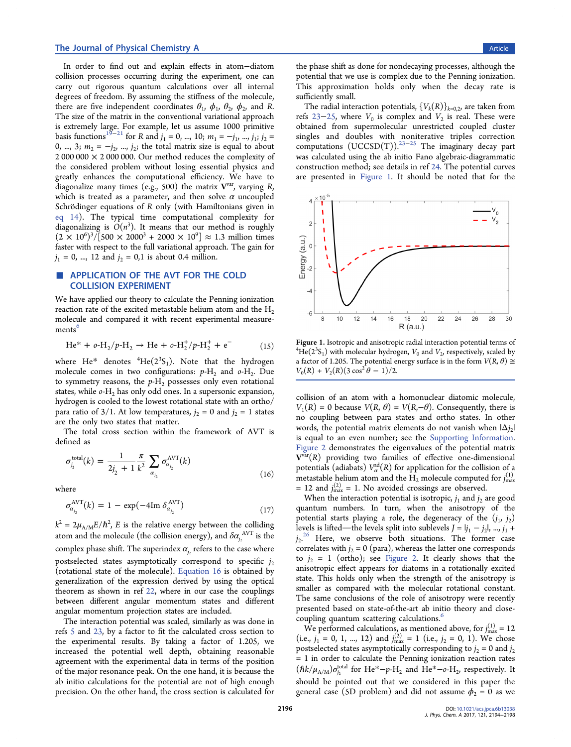In order to find out and explain effects in atom−diatom collision processes occurring during the experiment, one can carry out rigorous quantum calculations over all internal degrees of freedom. By assuming the stiffness of the molecule, there are five independent coordinates  $\theta_1$ ,  $\phi_1$ ,  $\theta_2$ ,  $\phi_2$ , and R. The size of the matrix in the conventional variational approach is extremely large. For example, let us assume 1000 primitive basis functions<sup>[19](#page-4-0)−[21](#page-4-0)</sup> for R and  $j_1 = 0$ , ..., 10;  $m_1 = -j_1$ , ...,  $j_1$ ;  $j_2 =$ 0, ..., 3;  $m_2 = -j_2$ , ...,  $j_2$ ; the total matrix size is equal to about  $2000000 \times 2000000$ . Our method reduces the complexity of the considered problem without losing essential physics and greatly enhances the computational efficiency. We have to diagonalize many times (e.g., 500) the matrix  $V^{var}$ , varying R, which is treated as a parameter, and then solve  $\alpha$  uncoupled Schrödinger equations of R only (with Hamiltonians given in [eq 14](#page-1-0)). The typical time computational complexity for diagonalizing is  $O(n^3)$ . It means that our method is roughly  $(2 \times 10^6)^3/[500 \times 2000^3 + 2000 \times 10^9] \approx 1.3$  million times faster with respect to the full variational approach. The gain for  $j_1 = 0, ..., 12$  and  $j_2 = 0,1$  is about 0.4 million.

# ■ APPLICATION OF THE AVT FOR THE COLD COLLISION EXPERIMENT

We have applied our theory to calculate the Penning ionization reaction rate of the excited metastable helium atom and the  $H_2$ molecule and compared it with recent experimental measure-ments<sup>[6](#page-4-0)</sup>

$$
\text{He}^* + o\text{-H}_2/p\text{-H}_2 \to \text{He} + o\text{-H}_2^+/p\text{-H}_2^+ + e^- \tag{15}
$$

where  $He^*$  denotes <sup>4</sup>He( $2^3S_1$ ). Note that the hydrogen molecule comes in two configurations:  $p-H_2$  and  $o-H_2$ . Due to symmetry reasons, the  $p$ -H<sub>2</sub> possesses only even rotational states, while  $o$ -H<sub>2</sub> has only odd ones. In a supersonic expansion, hydrogen is cooled to the lowest rotational state with an ortho/ para ratio of 3/1. At low temperatures,  $j_2 = 0$  and  $j_2 = 1$  states are the only two states that matter.

The total cross section within the framework of AVT is defined as

$$
\sigma_{j_2}^{\text{total}}(k) = \frac{1}{2j_2 + 1} \frac{\pi}{k^2} \sum_{a_{j_2}} \sigma_{a_{j_2}}^{\text{AVT}}(k)
$$
\n(16)

where

$$
\sigma_{\alpha_{j_2}}^{\text{AVT}}(k) = 1 - \exp(-4\text{Im }\delta_{\alpha_{j_2}}^{\text{AVT}})
$$
\n(17)

 $k^2 = 2\mu_{\rm A/M} E/\hbar^2$ , E is the relative energy between the colliding atom and the molecule (the collision energy), and  $\delta\alpha_{j_2}^{\rm AVT}$  is the complex phase shift. The superindex  $\alpha_i$ , refers to the case where postselected states asymptotically correspond to specific  $j_2$ (rotational state of the molecule). Equation 16 is obtained by generalization of the expression derived by using the optical theorem as shown in ref [22,](#page-4-0) where in our case the couplings between different angular momentum states and different angular momentum projection states are included.

The interaction potential was scaled, similarly as was done in refs [5](#page-4-0) and [23,](#page-4-0) by a factor to fit the calculated cross section to the experimental results. By taking a factor of 1.205, we increased the potential well depth, obtaining reasonable agreement with the experimental data in terms of the position of the major resonance peak. On the one hand, it is because the ab initio calculations for the potential are not of high enough precision. On the other hand, the cross section is calculated for

the phase shift as done for nondecaying processes, although the potential that we use is complex due to the Penning ionization. This approximation holds only when the decay rate is sufficiently small.

The radial interaction potentials,  $\{V_k(R)\}_{k=0,2}$ , are taken from refs [23](#page-4-0)–[25](#page-4-0), where  $V_0$  is complex and  $V_2$  is real. These were obtained from supermolecular unrestricted coupled cluster singles and doubles with noniterative triples correction computations  $(UCCSD(T))$ .<sup>[23](#page-4-0)-[25](#page-4-0)</sup> The imaginary decay part was calculated using the ab initio Fano algebraic-diagrammatic construction method; see details in ref [24](#page-4-0). The potential curves are presented in Figure 1. It should be noted that for the



Figure 1. Isotropic and anisotropic radial interaction potential terms of  $He(2<sup>3</sup>S<sub>1</sub>)$  with molecular hydrogen,  $V<sub>0</sub>$  and  $V<sub>2</sub>$ , respectively, scaled by a factor of 1.205. The potential energy surface is in the form  $V(R,\theta)\cong$  $V_0(R) + V_2(R)(3 \cos^2 \theta - 1)/2.$ 

collision of an atom with a homonuclear diatomic molecule,  $V_1(R) = 0$  because  $V(R, \theta) = V(R, -\theta)$ . Consequently, there is no coupling between para states and ortho states. In other words, the potential matrix elements do not vanish when  $|\Delta j_2|$ is equal to an even number; see the [Supporting Information.](http://pubs.acs.org/doi/suppl/10.1021/acs.jpca.6b13038/suppl_file/jp6b13038_si_001.pdf) [Figure 2](#page-3-0) demonstrates the eigenvalues of the potential matrix  $V^{var}(R)$  providing two families of effective one-dimensional potentials (adiabats)  $V^{\text{ad}}_{\alpha}(R)$  for application for the collision of a metastable helium atom and the  $H_2$  molecule computed for  $j_{\text{max}}^{(1)}$ = 12 and  $j_{\text{max}}^{(2)}$  = 1. No avoided crossings are observed.

When the interaction potential is isotropic,  $j_1$  and  $j_2$  are good quantum numbers. In turn, when the anisotropy of the potential starts playing a role, the degeneracy of the  $(j_1, j_2)$ levels is lifted—the levels split into sublevels  $J = |j_1 - j_2|, ..., j_1 +$  $j_2$ .<sup>[26](#page-4-0)</sup> Here, we observe both situations. The former case correlates with  $j_2 = 0$  (para), whereas the latter one corresponds to  $j_2 = 1$  (ortho); see [Figure 2](#page-3-0). It clearly shows that the anisotropic effect appears for diatoms in a rotationally excited state. This holds only when the strength of the anisotropy is smaller as compared with the molecular rotational constant. The same conclusions of the role of anisotropy were recently presented based on state-of-the-art ab initio theory and close-coupling quantum scattering calculations.<sup>[6](#page-4-0)</sup>

We performed calculations, as mentioned above, for  $j_{\text{max}}^{(1)} = 12$ (i.e.,  $j_1 = 0, 1, ..., 12$ ) and  $j_{\text{max}}^{(2)} = 1$  (i.e.,  $j_2 = 0, 1$ ). We chose postselected states asymptotically corresponding to  $j_2 = 0$  and  $j_2$ = 1 in order to calculate the Penning ionization reaction rates  $(\hbar k/\mu_{A/M})\sigma_{j_2}^{\rm total}$  for He\*-p-H<sub>2</sub> and He\*-o-H<sub>2</sub>, respectively. It should be pointed out that we considered in this paper the general case (5D problem) and did not assume  $\phi_2 = 0$  as we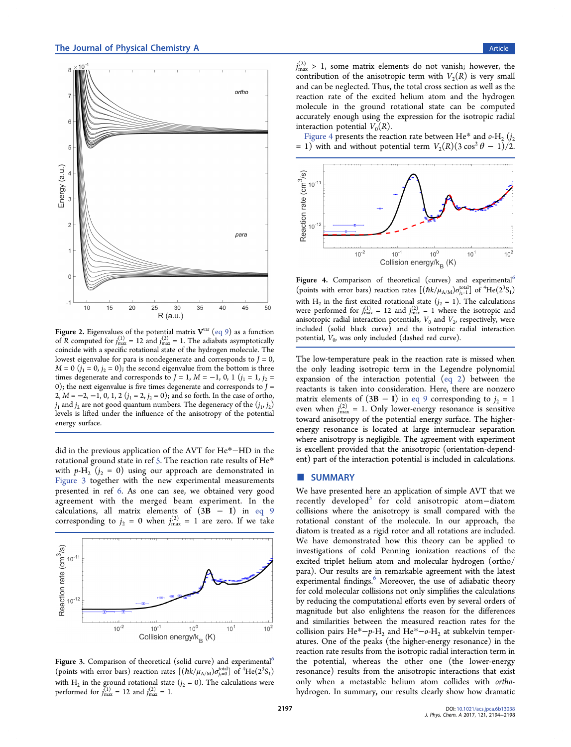<span id="page-3-0"></span>

Figure 2. Eigenvalues of the potential matrix  $V^{var}$  ([eq 9\)](#page-1-0) as a function of R computed for  $j_{\text{max}}^{(1)} = 12$  and  $j_{\text{max}}^{(2)} = 1$ . The adiabats asymptotically coincide with a specific rotational state of the hydrogen molecule. The lowest eigenvalue for para is nondegenerate and corresponds to  $J = 0$ ,  $M = 0$   $(j_1 = 0, j_2 = 0)$ ; the second eigenvalue from the bottom is three times degenerate and corresponds to  $J = 1$ ,  $M = -1$ , 0, 1 ( $j_1 = 1$ ,  $j_2 =$ 0); the next eigenvalue is five times degenerate and corresponds to  $J =$ 2,  $M = -2, -1, 0, 1, 2$   $(j_1 = 2, j_2 = 0)$ ; and so forth. In the case of ortho,  $j_1$  and  $j_2$  are not good quantum numbers. The degeneracy of the  $(j_1, j_2)$ levels is lifted under the influence of the anisotropy of the potential energy surface.

did in the previous application of the AVT for He\*−HD in the rotational ground state in ref [5.](#page-4-0) The reaction rate results of He\* with  $p-H_2$  ( $j_2 = 0$ ) using our approach are demonstrated in Figure 3 together with the new experimental measurements presented in ref [6](#page-4-0). As one can see, we obtained very good agreement with the merged beam experiment. In the calculations, all matrix elements of  $(3B - I)$  in [eq 9](#page-1-0) corresponding to  $j_2 = 0$  when  $j_{\text{max}}^{(2)} = 1$  are zero. If we take



Figure 3. Comparison of theoretical (solid curve) and experimental<sup>[6](#page-4-0)</sup> (points with error bars) reaction rates  $[(\hbar k/\mu_{A/M})\sigma_{j_2=0}^{\text{total}}]$  of  ${}^4\textrm{He}(2{}^3S_1)$ with H<sub>2</sub> in the ground rotational state  $(j_2 = 0)$ . The calculations were performed for  $j_{\text{max}}^{(1)} = 12$  and  $j_{\text{max}}^{(2)} = 1$ .

 $j_{\text{max}}^{(2)} > 1$ , some matrix elements do not vanish; however, the contribution of the anisotropic term with  $V_2(R)$  is very small and can be neglected. Thus, the total cross section as well as the reaction rate of the excited helium atom and the hydrogen molecule in the ground rotational state can be computed accurately enough using the expression for the isotropic radial interaction potential  $V_0(R)$ .

Figure 4 presents the reaction rate between He\* and  $o$ -H<sub>2</sub> ( $j_2$ ) = 1) with and without potential term  $V_2(R)(3\cos^2\theta - 1)/2$ .



Figure 4. Comparison of theoretical (curves) and experimental<sup>[6](#page-4-0)</sup> (points with error bars) reaction rates  $[(\hbar k/\mu_{A/M})\sigma^{\rm total}_{j_2=1}]$  of  ${}^4\textrm{He}(2{}^3\textrm{S}_1)$ with H<sub>2</sub> in the first excited rotational state  $(j_2 = 1)$ . The calculations were performed for  $j_{\text{max}}^{(1)} = 12$  and  $j_{\text{max}}^{(2)} = 1$  where the isotropic and anisotropic radial interaction potentials,  $V_0$  and  $V_2$ , respectively, were included (solid black curve) and the isotropic radial interaction potential,  $V_0$ , was only included (dashed red curve).

The low-temperature peak in the reaction rate is missed when the only leading isotropic term in the Legendre polynomial expansion of the interaction potential ([eq 2](#page-1-0)) between the reactants is taken into consideration. Here, there are nonzero matrix elements of  $(3B - I)$  in [eq 9](#page-1-0) corresponding to  $j_2 = 1$ even when  $j_{\text{max}}^{(2)} = 1$ . Only lower-energy resonance is sensitive toward anisotropy of the potential energy surface. The higherenergy resonance is located at large internuclear separation where anisotropy is negligible. The agreement with experiment is excellent provided that the anisotropic (orientation-dependent) part of the interaction potential is included in calculations.

#### ■ SUMMARY

We have presented here an application of simple AVT that we recently developed<sup>[5](#page-4-0)</sup> for cold anisotropic atom-diatom collisions where the anisotropy is small compared with the rotational constant of the molecule. In our approach, the diatom is treated as a rigid rotor and all rotations are included. We have demonstrated how this theory can be applied to investigations of cold Penning ionization reactions of the excited triplet helium atom and molecular hydrogen (ortho/ para). Our results are in remarkable agreement with the latest experimental findings.<sup>[6](#page-4-0)</sup> Moreover, the use of adiabatic theory for cold molecular collisions not only simplifies the calculations by reducing the computational efforts even by several orders of magnitude but also enlightens the reason for the differences and similarities between the measured reaction rates for the collision pairs He<sup>\*</sup>−p-H<sub>2</sub> and He<sup>\*</sup>−o-H<sub>2</sub> at subkelvin temperatures. One of the peaks (the higher-energy resonance) in the reaction rate results from the isotropic radial interaction term in the potential, whereas the other one (the lower-energy resonance) results from the anisotropic interactions that exist only when a metastable helium atom collides with orthohydrogen. In summary, our results clearly show how dramatic